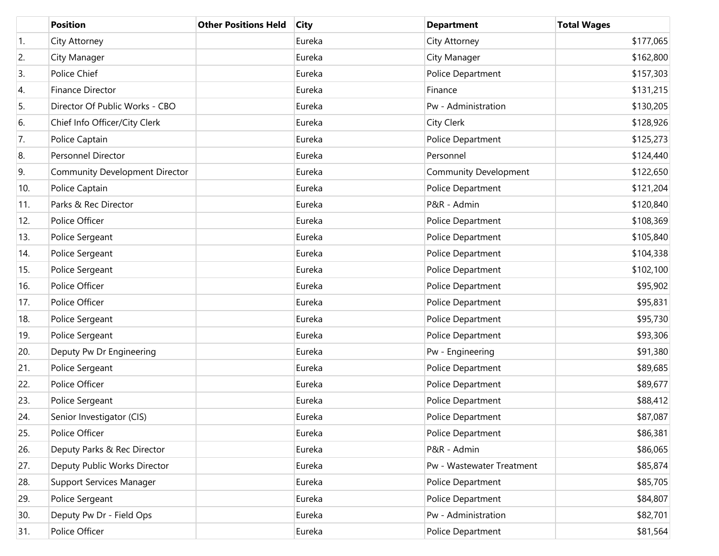|     | <b>Position</b>                       | <b>Other Positions Held</b> | <b>City</b> | <b>Department</b>         | <b>Total Wages</b> |
|-----|---------------------------------------|-----------------------------|-------------|---------------------------|--------------------|
| 1.  | City Attorney                         |                             | Eureka      | City Attorney             | \$177,065          |
| 2.  | City Manager                          |                             | Eureka      | City Manager              | \$162,800          |
| 3.  | Police Chief                          |                             | Eureka      | Police Department         | \$157,303          |
| 4.  | Finance Director                      |                             | Eureka      | Finance                   | \$131,215          |
| 5.  | Director Of Public Works - CBO        |                             | Eureka      | Pw - Administration       | \$130,205          |
| 6.  | Chief Info Officer/City Clerk         |                             | Eureka      | <b>City Clerk</b>         | \$128,926          |
| 7.  | Police Captain                        |                             | Eureka      | Police Department         | \$125,273          |
| 8.  | Personnel Director                    |                             | Eureka      | Personnel                 | \$124,440          |
| 9.  | <b>Community Development Director</b> |                             | Eureka      | Community Development     | \$122,650          |
| 10. | Police Captain                        |                             | Eureka      | Police Department         | \$121,204          |
| 11. | Parks & Rec Director                  |                             | Eureka      | P&R - Admin               | \$120,840          |
| 12. | Police Officer                        |                             | Eureka      | Police Department         | \$108,369          |
| 13. | Police Sergeant                       |                             | Eureka      | Police Department         | \$105,840          |
| 14. | Police Sergeant                       |                             | Eureka      | Police Department         | \$104,338          |
| 15. | Police Sergeant                       |                             | Eureka      | Police Department         | \$102,100          |
| 16. | Police Officer                        |                             | Eureka      | Police Department         | \$95,902           |
| 17. | Police Officer                        |                             | Eureka      | Police Department         | \$95,831           |
| 18. | Police Sergeant                       |                             | Eureka      | Police Department         | \$95,730           |
| 19. | Police Sergeant                       |                             | Eureka      | Police Department         | \$93,306           |
| 20. | Deputy Pw Dr Engineering              |                             | Eureka      | Pw - Engineering          | \$91,380           |
| 21. | Police Sergeant                       |                             | Eureka      | Police Department         | \$89,685           |
| 22. | Police Officer                        |                             | Eureka      | Police Department         | \$89,677           |
| 23. | Police Sergeant                       |                             | Eureka      | Police Department         | \$88,412           |
| 24. | Senior Investigator (CIS)             |                             | Eureka      | Police Department         | \$87,087           |
| 25. | Police Officer                        |                             | Eureka      | Police Department         | \$86,381           |
| 26. | Deputy Parks & Rec Director           |                             | Eureka      | P&R - Admin               | \$86,065           |
| 27. | Deputy Public Works Director          |                             | Eureka      | Pw - Wastewater Treatment | \$85,874           |
| 28. | Support Services Manager              |                             | Eureka      | Police Department         | \$85,705           |
| 29. | Police Sergeant                       |                             | Eureka      | Police Department         | \$84,807           |
| 30. | Deputy Pw Dr - Field Ops              |                             | Eureka      | Pw - Administration       | \$82,701           |
| 31. | Police Officer                        |                             | Eureka      | Police Department         | \$81,564           |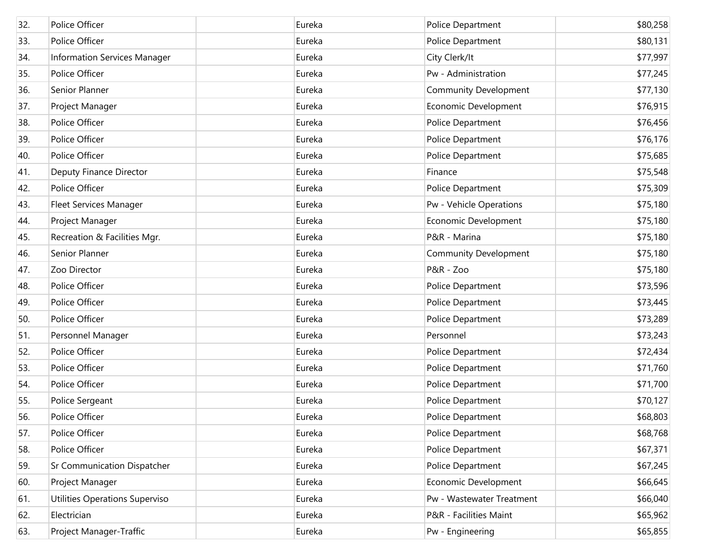| 32. | Police Officer                     | Eureka | Police Department            | \$80,258 |
|-----|------------------------------------|--------|------------------------------|----------|
| 33. | Police Officer                     | Eureka | Police Department            | \$80,131 |
| 34. | Information Services Manager       | Eureka | City Clerk/It                | \$77,997 |
| 35. | Police Officer                     | Eureka | Pw - Administration          | \$77,245 |
| 36. | Senior Planner                     | Eureka | <b>Community Development</b> | \$77,130 |
| 37. | Project Manager                    | Eureka | Economic Development         | \$76,915 |
| 38. | Police Officer                     | Eureka | Police Department            | \$76,456 |
| 39. | Police Officer                     | Eureka | Police Department            | \$76,176 |
| 40. | Police Officer                     | Eureka | Police Department            | \$75,685 |
| 41. | Deputy Finance Director            | Eureka | Finance                      | \$75,548 |
| 42. | Police Officer                     | Eureka | Police Department            | \$75,309 |
| 43. | <b>Fleet Services Manager</b>      | Eureka | Pw - Vehicle Operations      | \$75,180 |
| 44. | Project Manager                    | Eureka | Economic Development         | \$75,180 |
| 45. | Recreation & Facilities Mgr.       | Eureka | P&R - Marina                 | \$75,180 |
| 46. | Senior Planner                     | Eureka | <b>Community Development</b> | \$75,180 |
| 47. | Zoo Director                       | Eureka | P&R - Zoo                    | \$75,180 |
| 48. | Police Officer                     | Eureka | Police Department            | \$73,596 |
| 49. | Police Officer                     | Eureka | Police Department            | \$73,445 |
| 50. | Police Officer                     | Eureka | Police Department            | \$73,289 |
| 51. | Personnel Manager                  | Eureka | Personnel                    | \$73,243 |
| 52. | Police Officer                     | Eureka | Police Department            | \$72,434 |
| 53. | Police Officer                     | Eureka | Police Department            | \$71,760 |
| 54. | Police Officer                     | Eureka | Police Department            | \$71,700 |
| 55. | Police Sergeant                    | Eureka | Police Department            | \$70,127 |
| 56. | Police Officer                     | Eureka | Police Department            | \$68,803 |
| 57. | Police Officer                     | Eureka | Police Department            | \$68,768 |
| 58. | Police Officer                     | Eureka | Police Department            | \$67,371 |
| 59. | <b>Sr Communication Dispatcher</b> | Eureka | Police Department            | \$67,245 |
| 60. | Project Manager                    | Eureka | Economic Development         | \$66,645 |
| 61. | Utilities Operations Superviso     | Eureka | Pw - Wastewater Treatment    | \$66,040 |
| 62. | Electrician                        | Eureka | P&R - Facilities Maint       | \$65,962 |
| 63. | Project Manager-Traffic            | Eureka | Pw - Engineering             | \$65,855 |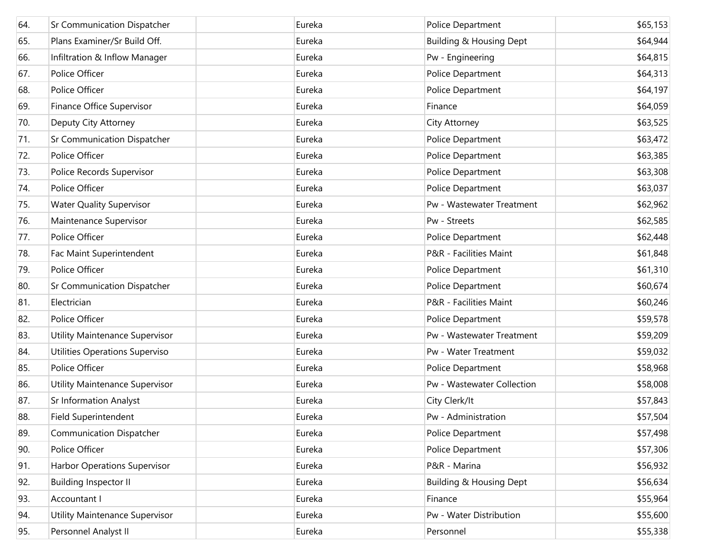| 64. | <b>Sr Communication Dispatcher</b>  | Eureka | Police Department                  | \$65,153 |
|-----|-------------------------------------|--------|------------------------------------|----------|
| 65. | Plans Examiner/Sr Build Off.        | Eureka | <b>Building &amp; Housing Dept</b> | \$64,944 |
| 66. | Infiltration & Inflow Manager       | Eureka | Pw - Engineering                   | \$64,815 |
| 67. | Police Officer                      | Eureka | Police Department                  | \$64,313 |
| 68. | Police Officer                      | Eureka | Police Department                  | \$64,197 |
| 69. | Finance Office Supervisor           | Eureka | Finance                            | \$64,059 |
| 70. | Deputy City Attorney                | Eureka | City Attorney                      | \$63,525 |
| 71. | Sr Communication Dispatcher         | Eureka | Police Department                  | \$63,472 |
| 72. | Police Officer                      | Eureka | Police Department                  | \$63,385 |
| 73. | Police Records Supervisor           | Eureka | Police Department                  | \$63,308 |
| 74. | Police Officer                      | Eureka | Police Department                  | \$63,037 |
| 75. | <b>Water Quality Supervisor</b>     | Eureka | Pw - Wastewater Treatment          | \$62,962 |
| 76. | Maintenance Supervisor              | Eureka | Pw - Streets                       | \$62,585 |
| 77. | Police Officer                      | Eureka | Police Department                  | \$62,448 |
| 78. | Fac Maint Superintendent            | Eureka | P&R - Facilities Maint             | \$61,848 |
| 79. | Police Officer                      | Eureka | Police Department                  | \$61,310 |
| 80. | Sr Communication Dispatcher         | Eureka | Police Department                  | \$60,674 |
| 81. | Electrician                         | Eureka | P&R - Facilities Maint             | \$60,246 |
| 82. | Police Officer                      | Eureka | Police Department                  | \$59,578 |
| 83. | Utility Maintenance Supervisor      | Eureka | Pw - Wastewater Treatment          | \$59,209 |
| 84. | Utilities Operations Superviso      | Eureka | Pw - Water Treatment               | \$59,032 |
| 85. | Police Officer                      | Eureka | Police Department                  | \$58,968 |
| 86. | Utility Maintenance Supervisor      | Eureka | Pw - Wastewater Collection         | \$58,008 |
| 87. | <b>Sr Information Analyst</b>       | Eureka | City Clerk/It                      | \$57,843 |
| 88. | Field Superintendent                | Eureka | Pw - Administration                | \$57,504 |
| 89. | <b>Communication Dispatcher</b>     | Eureka | Police Department                  | \$57,498 |
| 90. | Police Officer                      | Eureka | Police Department                  | \$57,306 |
| 91. | <b>Harbor Operations Supervisor</b> | Eureka | P&R - Marina                       | \$56,932 |
| 92. | <b>Building Inspector II</b>        | Eureka | <b>Building &amp; Housing Dept</b> | \$56,634 |
| 93. | Accountant I                        | Eureka | Finance                            | \$55,964 |
| 94. | Utility Maintenance Supervisor      | Eureka | Pw - Water Distribution            | \$55,600 |
| 95. | Personnel Analyst II                | Eureka | Personnel                          | \$55,338 |